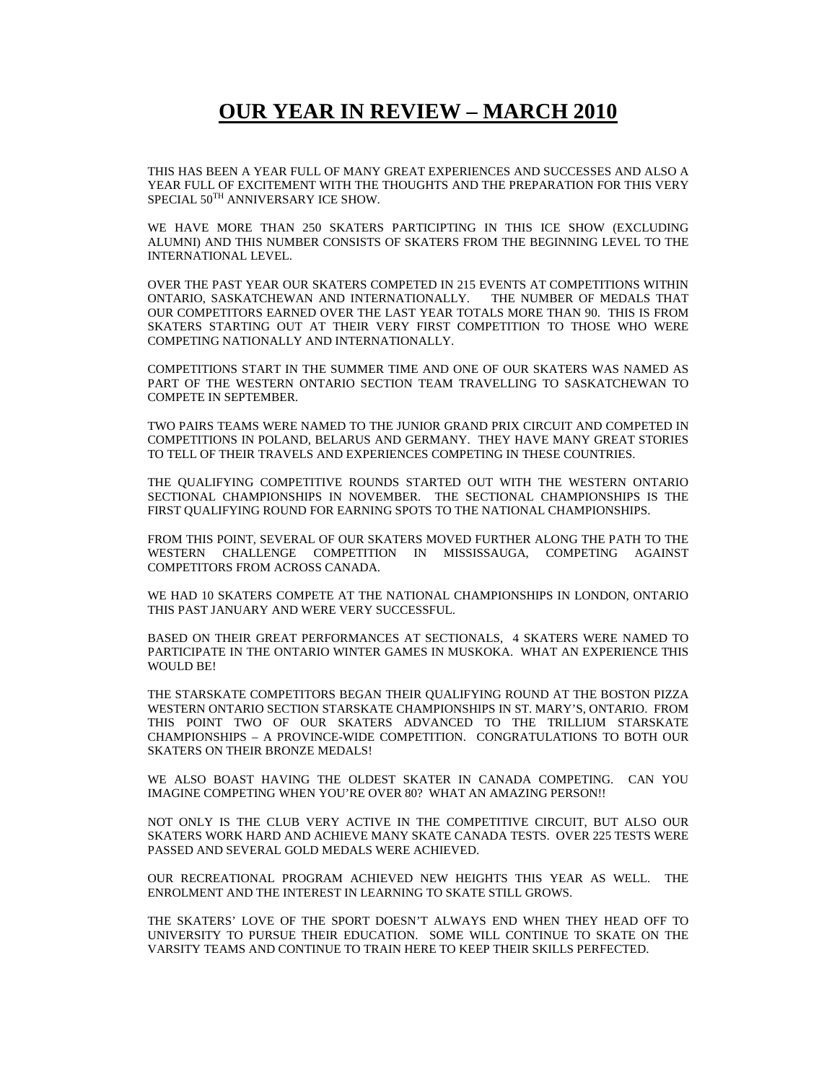## **OUR YEAR IN REVIEW – MARCH 2010**

THIS HAS BEEN A YEAR FULL OF MANY GREAT EXPERIENCES AND SUCCESSES AND ALSO A YEAR FULL OF EXCITEMENT WITH THE THOUGHTS AND THE PREPARATION FOR THIS VERY SPECIAL  $50^{TH}$  ANNIVERSARY ICE SHOW.

WE HAVE MORE THAN 250 SKATERS PARTICIPTING IN THIS ICE SHOW (EXCLUDING ALUMNI) AND THIS NUMBER CONSISTS OF SKATERS FROM THE BEGINNING LEVEL TO THE INTERNATIONAL LEVEL.

OVER THE PAST YEAR OUR SKATERS COMPETED IN 215 EVENTS AT COMPETITIONS WITHIN ONTARIO, SASKATCHEWAN AND INTERNATIONALLY. THE NUMBER OF MEDALS THAT OUR COMPETITORS EARNED OVER THE LAST YEAR TOTALS MORE THAN 90. THIS IS FROM SKATERS STARTING OUT AT THEIR VERY FIRST COMPETITION TO THOSE WHO WERE COMPETING NATIONALLY AND INTERNATIONALLY.

COMPETITIONS START IN THE SUMMER TIME AND ONE OF OUR SKATERS WAS NAMED AS PART OF THE WESTERN ONTARIO SECTION TEAM TRAVELLING TO SASKATCHEWAN TO COMPETE IN SEPTEMBER.

TWO PAIRS TEAMS WERE NAMED TO THE JUNIOR GRAND PRIX CIRCUIT AND COMPETED IN COMPETITIONS IN POLAND, BELARUS AND GERMANY. THEY HAVE MANY GREAT STORIES TO TELL OF THEIR TRAVELS AND EXPERIENCES COMPETING IN THESE COUNTRIES.

THE QUALIFYING COMPETITIVE ROUNDS STARTED OUT WITH THE WESTERN ONTARIO SECTIONAL CHAMPIONSHIPS IN NOVEMBER. THE SECTIONAL CHAMPIONSHIPS IS THE FIRST QUALIFYING ROUND FOR EARNING SPOTS TO THE NATIONAL CHAMPIONSHIPS.

FROM THIS POINT, SEVERAL OF OUR SKATERS MOVED FURTHER ALONG THE PATH TO THE WESTERN CHALLENGE COMPETITION IN MISSISSAUGA, COMPETING AGAINST COMPETITORS FROM ACROSS CANADA.

WE HAD 10 SKATERS COMPETE AT THE NATIONAL CHAMPIONSHIPS IN LONDON, ONTARIO THIS PAST JANUARY AND WERE VERY SUCCESSFUL.

BASED ON THEIR GREAT PERFORMANCES AT SECTIONALS, 4 SKATERS WERE NAMED TO PARTICIPATE IN THE ONTARIO WINTER GAMES IN MUSKOKA. WHAT AN EXPERIENCE THIS WOULD BE!

THE STARSKATE COMPETITORS BEGAN THEIR QUALIFYING ROUND AT THE BOSTON PIZZA WESTERN ONTARIO SECTION STARSKATE CHAMPIONSHIPS IN ST. MARY'S, ONTARIO. FROM THIS POINT TWO OF OUR SKATERS ADVANCED TO THE TRILLIUM STARSKATE CHAMPIONSHIPS – A PROVINCE-WIDE COMPETITION. CONGRATULATIONS TO BOTH OUR SKATERS ON THEIR BRONZE MEDALS!

WE ALSO BOAST HAVING THE OLDEST SKATER IN CANADA COMPETING. CAN YOU IMAGINE COMPETING WHEN YOU'RE OVER 80? WHAT AN AMAZING PERSON!!

NOT ONLY IS THE CLUB VERY ACTIVE IN THE COMPETITIVE CIRCUIT, BUT ALSO OUR SKATERS WORK HARD AND ACHIEVE MANY SKATE CANADA TESTS. OVER 225 TESTS WERE PASSED AND SEVERAL GOLD MEDALS WERE ACHIEVED.

OUR RECREATIONAL PROGRAM ACHIEVED NEW HEIGHTS THIS YEAR AS WELL. THE ENROLMENT AND THE INTEREST IN LEARNING TO SKATE STILL GROWS.

THE SKATERS' LOVE OF THE SPORT DOESN'T ALWAYS END WHEN THEY HEAD OFF TO UNIVERSITY TO PURSUE THEIR EDUCATION. SOME WILL CONTINUE TO SKATE ON THE VARSITY TEAMS AND CONTINUE TO TRAIN HERE TO KEEP THEIR SKILLS PERFECTED.